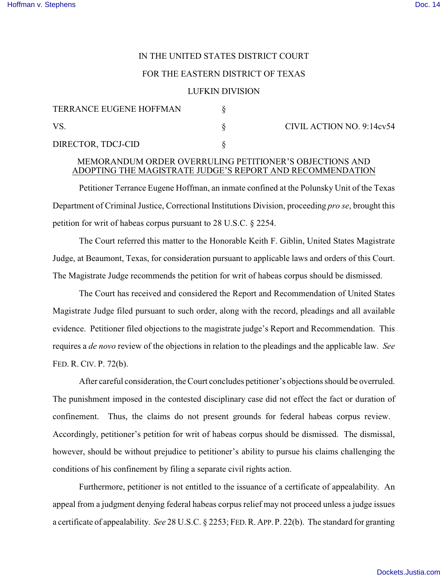## IN THE UNITED STATES DISTRICT COURT

## FOR THE EASTERN DISTRICT OF TEXAS

## LUFKIN DIVISION

| TERRANCE EUGENE HOFFMAN |  | CIVIL ACTION NO. 9:14cv54 |
|-------------------------|--|---------------------------|
| VS                      |  |                           |
| DIRECTOR, TDCJ-CID      |  |                           |

## MEMORANDUM ORDER OVERRULING PETITIONER'S OBJECTIONS AND ADOPTING THE MAGISTRATE JUDGE'S REPORT AND RECOMMENDATION

Petitioner Terrance Eugene Hoffman, an inmate confined at the Polunsky Unit of the Texas Department of Criminal Justice, Correctional Institutions Division, proceeding *pro se*, brought this petition for writ of habeas corpus pursuant to 28 U.S.C. § 2254.

The Court referred this matter to the Honorable Keith F. Giblin, United States Magistrate Judge, at Beaumont, Texas, for consideration pursuant to applicable laws and orders of this Court. The Magistrate Judge recommends the petition for writ of habeas corpus should be dismissed.

The Court has received and considered the Report and Recommendation of United States Magistrate Judge filed pursuant to such order, along with the record, pleadings and all available evidence. Petitioner filed objections to the magistrate judge's Report and Recommendation. This requires a *de novo* review of the objections in relation to the pleadings and the applicable law. *See* FED. R. CIV. P. 72(b).

After careful consideration, the Court concludes petitioner's objections should be overruled. The punishment imposed in the contested disciplinary case did not effect the fact or duration of confinement. Thus, the claims do not present grounds for federal habeas corpus review. Accordingly, petitioner's petition for writ of habeas corpus should be dismissed. The dismissal, however, should be without prejudice to petitioner's ability to pursue his claims challenging the conditions of his confinement by filing a separate civil rights action.

Furthermore, petitioner is not entitled to the issuance of a certificate of appealability. An appeal from a judgment denying federal habeas corpus relief may not proceed unless a judge issues a certificate of appealability. *See* 28 U.S.C. § 2253; FED.R.APP.P. 22(b). The standard for granting